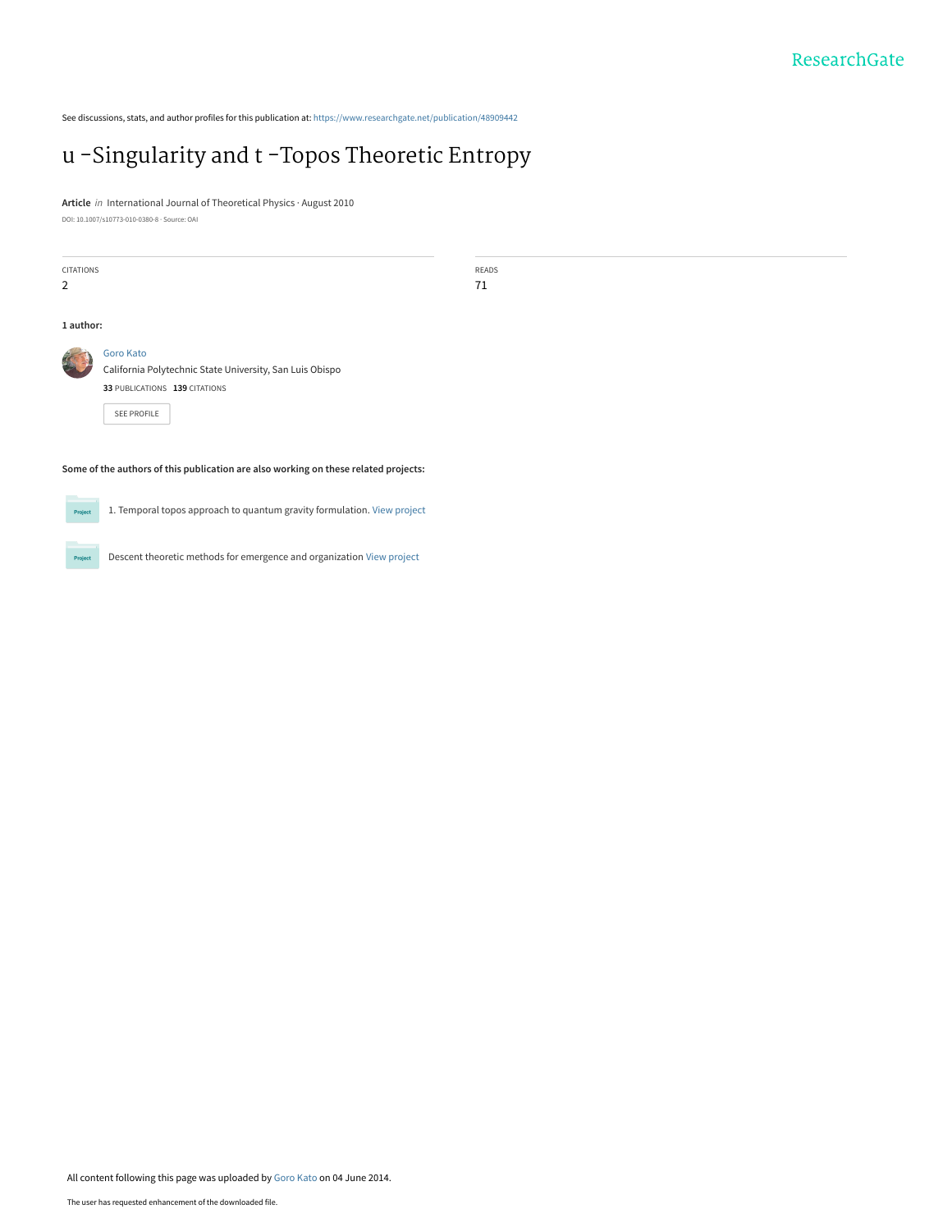See discussions, stats, and author profiles for this publication at: [https://www.researchgate.net/publication/48909442](https://www.researchgate.net/publication/48909442_u_-Singularity_and_t_-Topos_Theoretic_Entropy?enrichId=rgreq-94ea48f5de1c19d83783dfbdebfc3386-XXX&enrichSource=Y292ZXJQYWdlOzQ4OTA5NDQyO0FTOjEwNDI0NDE5OTgyMTMyMkAxNDAxODY1MTYyNzgw&el=1_x_2&_esc=publicationCoverPdf)

# [u -Singularity and t -Topos Theoretic Entropy](https://www.researchgate.net/publication/48909442_u_-Singularity_and_t_-Topos_Theoretic_Entropy?enrichId=rgreq-94ea48f5de1c19d83783dfbdebfc3386-XXX&enrichSource=Y292ZXJQYWdlOzQ4OTA5NDQyO0FTOjEwNDI0NDE5OTgyMTMyMkAxNDAxODY1MTYyNzgw&el=1_x_3&_esc=publicationCoverPdf)

**Article** in International Journal of Theoretical Physics · August 2010 DOI: 10.1007/s10773-010-0380-8 · Source: OAI

| CITATIONS<br>2 |                                                                                                                              | READS<br>71 |
|----------------|------------------------------------------------------------------------------------------------------------------------------|-------------|
| 1 author:      |                                                                                                                              |             |
|                | <b>Goro Kato</b><br>California Polytechnic State University, San Luis Obispo<br>33 PUBLICATIONS 139 CITATIONS<br>SEE PROFILE |             |

#### **Some of the authors of this publication are also working on these related projects:**

Project

1. Temporal topos approach to quantum gravity formulation. [View project](https://www.researchgate.net/project/1-Temporal-topos-approach-to-quantum-gravity-formulation?enrichId=rgreq-94ea48f5de1c19d83783dfbdebfc3386-XXX&enrichSource=Y292ZXJQYWdlOzQ4OTA5NDQyO0FTOjEwNDI0NDE5OTgyMTMyMkAxNDAxODY1MTYyNzgw&el=1_x_9&_esc=publicationCoverPdf)



Descent theoretic methods for emergence and organization [View project](https://www.researchgate.net/project/Descent-theoretic-methods-for-emergence-and-organization?enrichId=rgreq-94ea48f5de1c19d83783dfbdebfc3386-XXX&enrichSource=Y292ZXJQYWdlOzQ4OTA5NDQyO0FTOjEwNDI0NDE5OTgyMTMyMkAxNDAxODY1MTYyNzgw&el=1_x_9&_esc=publicationCoverPdf)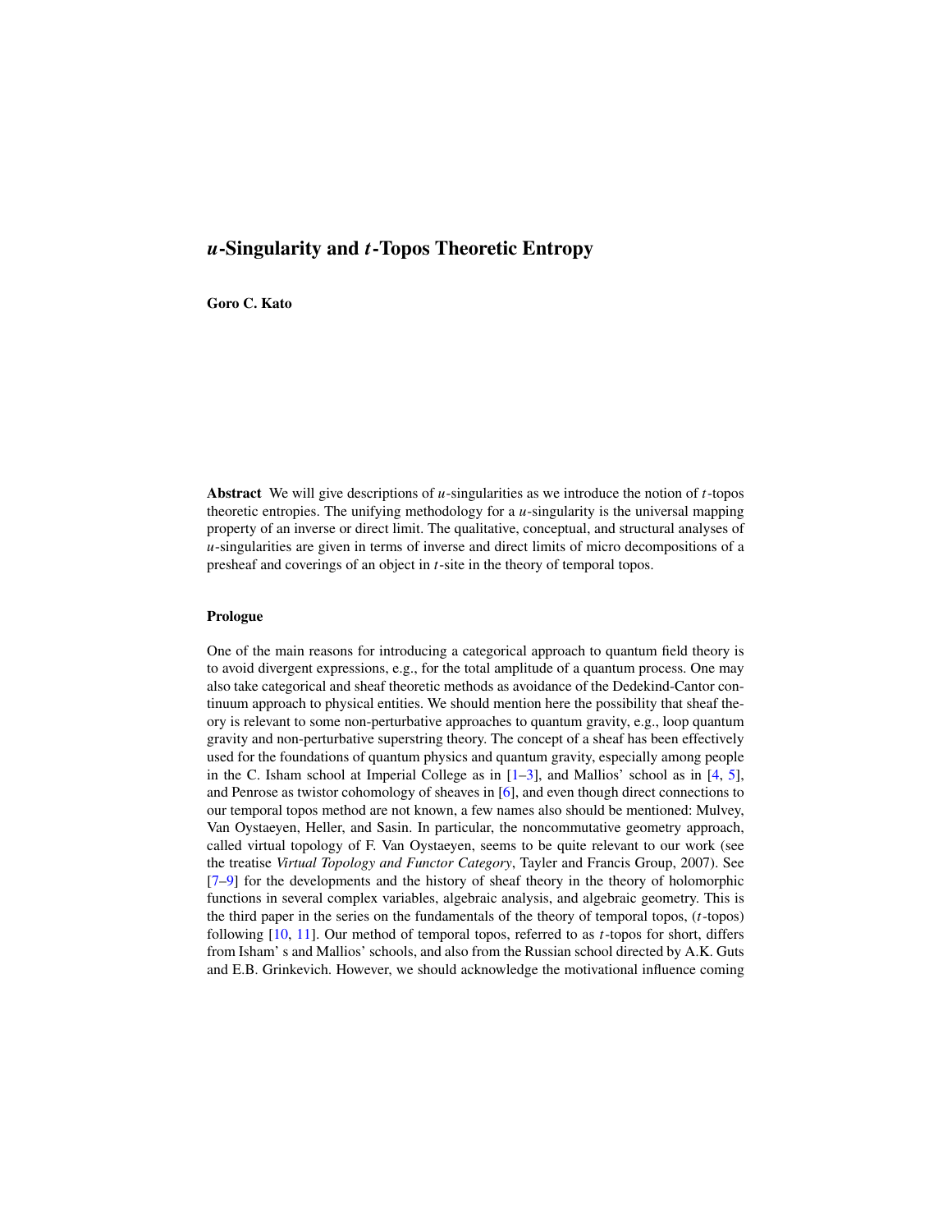# *u***-Singularity and** *t***-Topos Theoretic Entropy**

**Goro C. Kato** 

**Abstract** We will give descriptions of u-singularities as we introduce the notion of t-topos theoretic entropies. The unifying methodology for a  $u$ -singularity is the universal mapping property of an inverse or direct limit. The qualitative, conceptual, and structural analyses of  $u$ -singularities are given in terms of inverse and direct limits of micro decompositions of a presheaf and coverings of an object in *t*-site in the theory of temporal topos.

## **Prologue**

One of the main reasons for introducing a categorical approach to quantum field theory is to avoid divergent expressions, e.g., for the total amplitude of a quantum process. One may also take categorical and sheaf theoretic methods as avoidance of the Dedekind-Cantor continuum approach to physical entities. We should mention here the possibility that sheaf theory is relevant to some non-perturbative approaches to quantum gravity, e.g., loop quantum gravity and non-perturbative superstring theory. The concept of a sheaf has been effectively used for the foundations of quantum physics and quantum gravity, especially among people in the C. Isham school at Imperial College as in [1–3], and Mallios' school as in [4, 5], and Penrose as twistor cohomology of sheaves in [[6](#page-9-0)], and even though direct connections to our temporal topos method are not known, a few names also should be mentioned: Mulvey, Van Oystaeyen, Heller, and Sasin. In particular, the noncommutative geometry approach, called virtual topology of F. Van Oystaeyen, seems to be quite relevant to our work (see the treatise *Virtual Topology and Functor Category*, Tayler and Francis Group, 2007). See [7–9] for the developments and the history of sheaf theory in the theory of holomorphic functions in several complex variables, algebraic analysis, and algebraic geometry. This is the third paper in the series on the fundamentals of the theory of temporal topos,  $(t$ -topos) following  $[10, 11]$ . Our method of temporal topos, referred to as t-topos for short, differs from Isham' s and Mallios' schools, and also from the Russian school directed by A.K. Guts and E.B. Grinkevich. However, we should acknowledge the motivational influence coming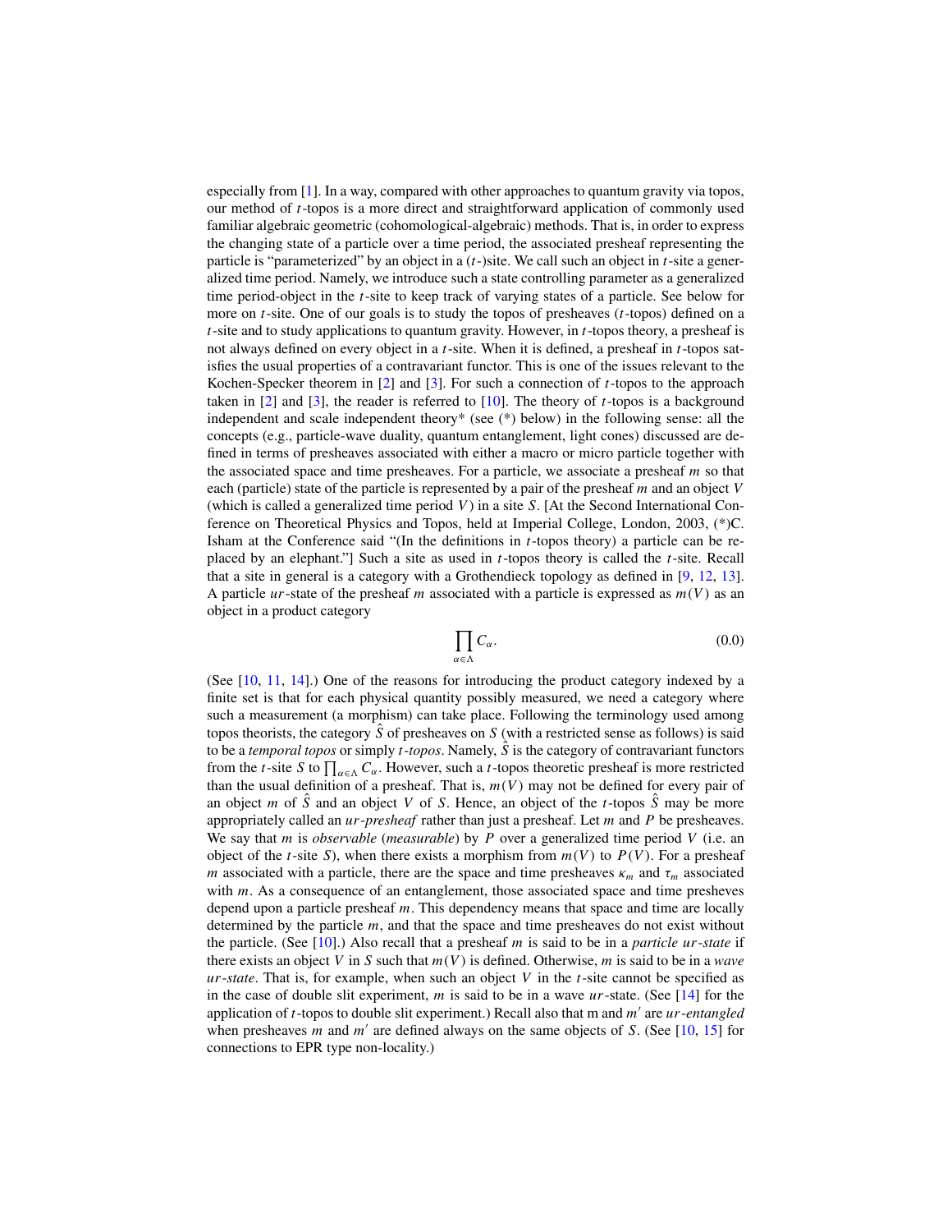especially from [[1](#page-9-0)]. In a way, compared with other approaches to quantum gravity via topos, our method of t-topos is a more direct and straightforward application of commonly used familiar algebraic geometric (cohomological-algebraic) methods. That is, in order to express the changing state of a particle over a time period, the associated presheaf representing the particle is "parameterized" by an object in a  $(t-)$ site. We call such an object in  $t$ -site a generalized time period. Namely, we introduce such a state controlling parameter as a generalized time period-object in the  $t$ -site to keep track of varying states of a particle. See below for more on  $t$ -site. One of our goals is to study the topos of presheaves  $(t$ -topos) defined on a  $t$ -site and to study applications to quantum gravity. However, in  $t$ -topos theory, a presheaf is not always defined on every object in a  $t$ -site. When it is defined, a presheaf in  $t$ -topos satisfies the usual properties of a contravariant functor. This is one of the issues relevant to the Kochen-Specker theorem in  $[2]$  and  $[3]$  $[3]$ . For such a connection of *t*-topos to the approach taken in  $[2]$  and  $[3]$  $[3]$ , the reader is referred to  $[10]$  $[10]$  $[10]$ . The theory of t-topos is a background independent and scale independent theory\* (see (\*) below) in the following sense: all the concepts (e.g., particle-wave duality, quantum entanglement, light cones) discussed are defined in terms of presheaves associated with either a macro or micro particle together with the associated space and time presheaves. For a particle, we associate a presheaf  $m$  so that each (particle) state of the particle is represented by a pair of the presheaf  $m$  and an object  $V$ (which is called a generalized time period  $V$ ) in a site  $S$ . [At the Second International Conference on Theoretical Physics and Topos, held at Imperial College, London, 2003, (\*)C. Isham at the Conference said "(In the definitions in  $t$ -topos theory) a particle can be replaced by an elephant."] Such a site as used in  $t$ -topos theory is called the  $t$ -site. Recall that a site in general is a category with a Grothendieck topology as defined in [9, 12, 13]. A particle ur-state of the presheaf m associated with a particle is expressed as  $m(V)$  as an object in a product category

$$
\prod_{\alpha \in \Lambda} C_{\alpha}.\tag{0.0}
$$

in the case of double slit experiment, m is said to be in a wave  $ur$ -state. (See [[14](#page-9-0)] for the application of t-topos to double slit experiment.) Recall also that m and  $m'$  are ur-entangled from the t-site S to  $\prod_{\alpha \in \Lambda} C_{\alpha}$ . However, such a t-topos theoretic presheaf is more restricted<br>than the usual definition of a presheaf. That is  $m(V)$  may not be defined for every pair of (See [10, 11, 14].) One of the reasons for introducing the product category indexed by a finite set is that for each physical quantity possibly measured, we need a category where such a measurement (a morphism) can take place. Following the terminology used among topos theorists, the category  $\hat{S}$  of presheaves on S (with a restricted sense as follows) is said to be a *temporal topos* or simply *t*-*topos*. Namely,  $\hat{S}$  is the category of contravariant functors than the usual definition of a presheaf. That is,  $m(V)$  may not be defined for every pair of an object m of  $\hat{S}$  and an object V of S. Hence, an object of the t-topos  $\hat{S}$  may be more appropriately called an ur-*presheaf* rather than just a presheaf. Let m and P be presheaves. We say that  $m$  is *observable* (*measurable*) by  $P$  over a generalized time period  $V$  (i.e. an object of the t-site S), when there exists a morphism from  $m(V)$  to  $P(V)$ . For a presheaf m associated with a particle, there are the space and time presheaves  $\kappa_m$  and  $\tau_m$  associated with  $m$ . As a consequence of an entanglement, those associated space and time presheves depend upon a particle presheaf m. This dependency means that space and time are locally determined by the particle  $m$ , and that the space and time presheaves do not exist without the particle. (See [\[10\]](#page-9-0).) Also recall that a presheaf m is said to be in a *particle* ur-*state* if there exists an object V in S such that  $m(V)$  is defined. Otherwise, m is said to be in a *wave*  $ur-state$ . That is, for example, when such an object V in the t-site cannot be specified as application of  $t$ -topos to double slit experiment.) Recall also that m and  $m'$  are  $ur$ -entangled when presheaves m and m' are defined always on the same objects of S. (See [10, 15] for connections to EPR type non-locality.)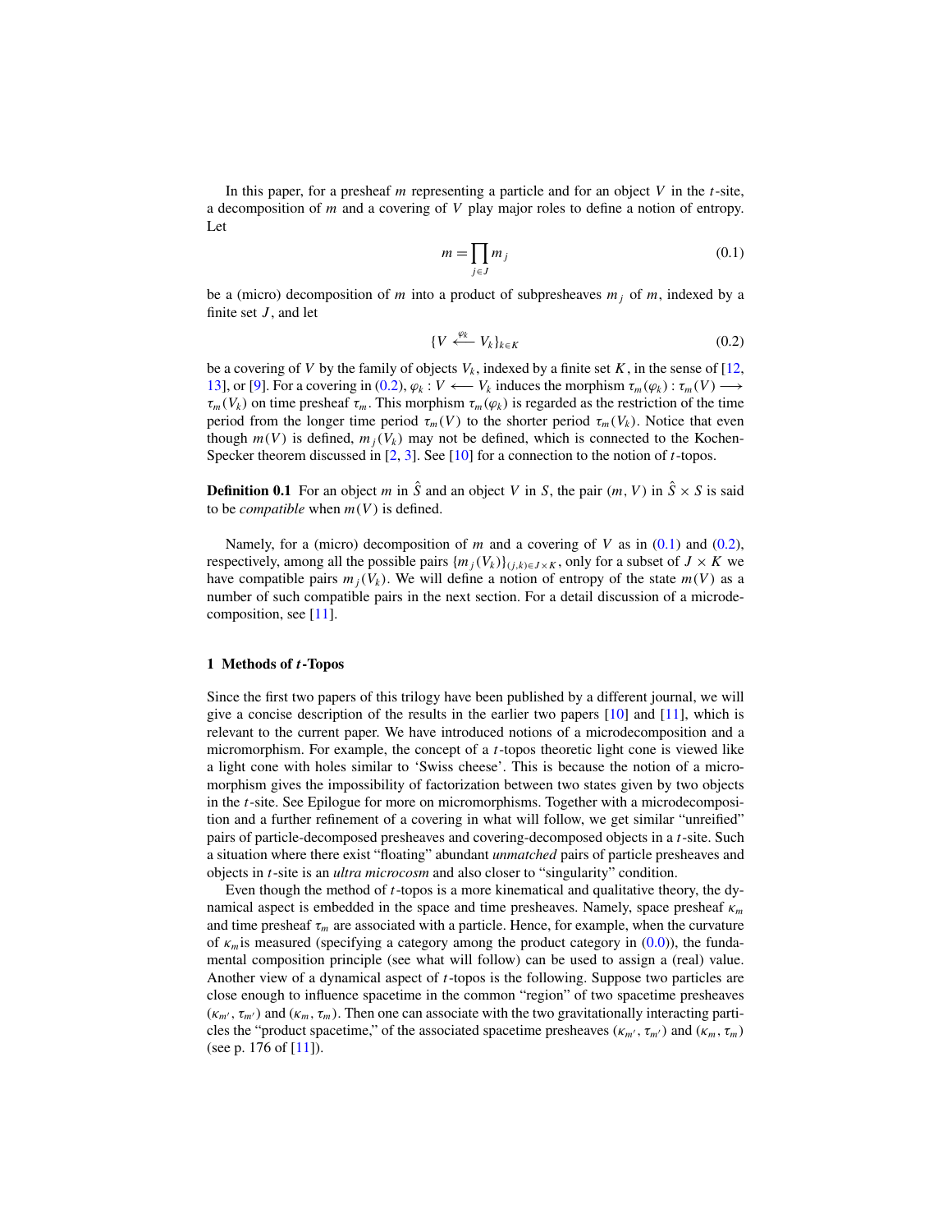In this paper, for a presheaf m representing a particle and for an object  $V$  in the  $t$ -site, a decomposition of  $m$  and a covering of  $V$  play major roles to define a notion of entropy. Let

$$
m = \prod_{j \in J} m_j \tag{0.1}
$$

be a (micro) decomposition of m into a product of subpresheaves  $m_i$  of m, indexed by a finite set  $J$ , and let

$$
\{V \stackrel{\varphi_k}{\longleftarrow} V_k\}_{k \in K} \tag{0.2}
$$

be a covering of V by the family of objects  $V_k$ , indexed by a finite set K, in the sense of [12, 13], or [\[9](#page-9-0)]. For a covering in (0.2),  $\varphi_k : V \leftarrow V_k$  induces the morphism  $\tau_m(\varphi_k) : \tau_m(V) \longrightarrow$  $\tau_m(V_k)$  on time presheaf  $\tau_m$ . This morphism  $\tau_m(\varphi_k)$  is regarded as the restriction of the time period from the longer time period  $\tau_m(V)$  to the shorter period  $\tau_m(V_k)$ . Notice that even though  $m(V)$  is defined,  $m_i(V_k)$  may not be defined, which is connected to the Kochen-Specker theorem discussed in  $[2, 3]$ . See  $[10]$  for a connection to the notion of t-topos.

**Definition 0.1** For an object m in  $\hat{S}$  and an object V in S, the pair  $(m, V)$  in  $\hat{S} \times S$  is said to be *compatible* when  $m(V)$  is defined.

Namely, for a (micro) decomposition of m and a covering of V as in  $(0.1)$  and  $(0.2)$ , respectively, among all the possible pairs  $\{m_i(V_k)\}_{(i,k)\in J\times K}$ , only for a subset of  $J\times K$  we have compatible pairs  $m_i(V_k)$ . We will define a notion of entropy of the state  $m(V)$  as a number of such compatible pairs in the next section. For a detail discussion of a microdecomposition, see [\[11\]](#page-9-0).

# **1 Methods of** *t***-Topos**

Since the first two papers of this trilogy have been published by a different journal, we will give a concise description of the results in the earlier two papers [10] and [[11](#page-9-0)], which is relevant to the current paper. We have introduced notions of a microdecomposition and a micromorphism. For example, the concept of a  $t$ -topos theoretic light cone is viewed like a light cone with holes similar to 'Swiss cheese'. This is because the notion of a micromorphism gives the impossibility of factorization between two states given by two objects in the t-site. See Epilogue for more on micromorphisms. Together with a microdecomposition and a further refinement of a covering in what will follow, we get similar "unreified" pairs of particle-decomposed presheaves and covering-decomposed objects in a t-site. Such a situation where there exist "floating" abundant *unmatched* pairs of particle presheaves and objects in t-site is an *ultra microcosm* and also closer to "singularity" condition.

Even though the method of  $t$ -topos is a more kinematical and qualitative theory, the dynamical aspect is embedded in the space and time presheaves. Namely, space presheaf  $\kappa_m$ and time presheaf  $\tau_m$  are associated with a particle. Hence, for example, when the curvature of  $\kappa_m$  is measured (specifying a category among the product category in (0.0)), the fundamental composition principle (see what will follow) can be used to assign a (real) value. Another view of a dynamical aspect of t-topos is the following. Suppose two particles are close enough to influence spacetime in the common "region" of two spacetime presheaves  $(\kappa_{m'}, \tau_{m'})$  and  $(\kappa_m, \tau_m)$ . Then one can associate with the two gravitationally interacting particles the "product spacetime," of the associated spacetime presheaves ( $\kappa_{m'}$ ,  $\tau_{m'}$ ) and ( $\kappa_m$ ,  $\tau_m$ ) (see p. 176 of [\[11\]](#page-9-0)).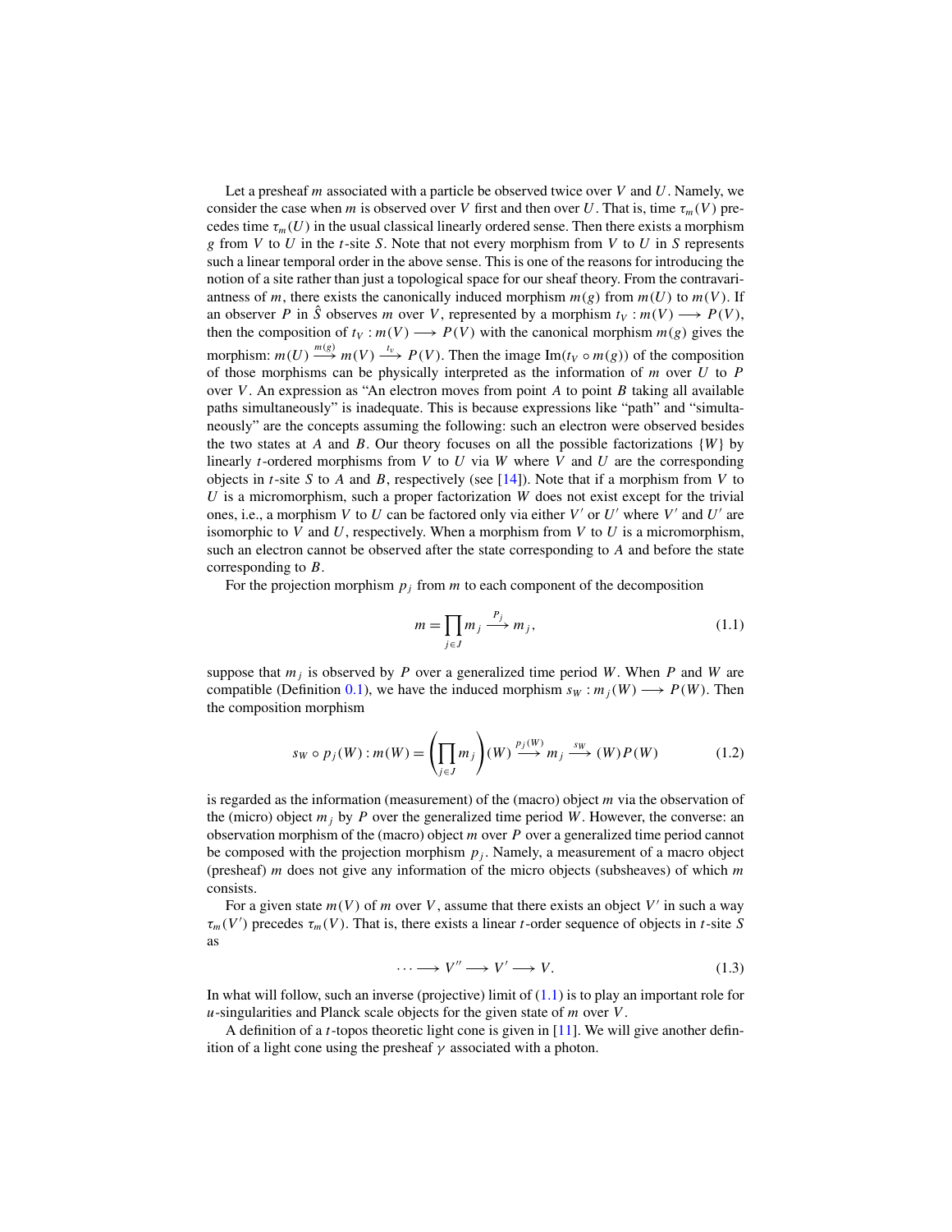Let a presheaf m associated with a particle be observed twice over V and U. Namely, we consider the case when m is observed over V first and then over U. That is, time  $\tau_m(V)$  precedes time  $\tau_m(U)$  in the usual classical linearly ordered sense. Then there exists a morphism g from V to U in the t-site S. Note that not every morphism from V to U in S represents such a linear temporal order in the above sense. This is one of the reasons for introducing the notion of a site rather than just a topological space for our sheaf theory. From the contravariantness of m, there exists the canonically induced morphism  $m(g)$  from  $m(U)$  to  $m(V)$ . If an observer P in S<sup>s</sup> observes m over V, represented by a morphism  $t_V : m(V) \longrightarrow P(V)$ , then the composition of  $t_V : m(V) \longrightarrow P(V)$  with the canonical morphism  $m(g)$  gives the morphism:  $m(U) \xrightarrow{m(g)} m(V) \xrightarrow{t_v} P(V)$ . Then the image Im( $t_V \circ m(g)$ ) of the composition of those morphisms can be physically interpreted as the information of  $m$  over  $U$  to  $P$ over V. An expression as "An electron moves from point A to point B taking all available paths simultaneously" is inadequate. This is because expressions like "path" and "simultaneously" are the concepts assuming the following: such an electron were observed besides the two states at A and B. Our theory focuses on all the possible factorizations  $\{W\}$  by linearly  $t$ -ordered morphisms from  $V$  to  $U$  via  $W$  where  $V$  and  $U$  are the corresponding objects in *t*-site S to A and B, respectively (see  $[14]$ ). Note that if a morphism from V to U is a micromorphism, such a proper factorization  $W$  does not exist except for the trivial ones, i.e., a morphism V to U can be factored only via either V' or U' where V' and U' are isomorphic to V and U, respectively. When a morphism from V to U is a micromorphism, such an electron cannot be observed after the state corresponding to A and before the state corresponding to B.

For the projection morphism  $p_j$  from m to each component of the decomposition

$$
m = \prod_{j \in J} m_j \xrightarrow{P_j} m_j,
$$
\n(1.1)

suppose that  $m_j$  is observed by P over a generalized time period W. When P and W are compatible (Definition 0.1), we have the induced morphism  $s_W : m_j(W) \longrightarrow P(W)$ . Then the composition morphism

$$
s_W \circ p_j(W) : m(W) = \left(\prod_{j \in J} m_j\right)(W) \stackrel{p_j(W)}{\longrightarrow} m_j \stackrel{s_W}{\longrightarrow} (W)P(W) \tag{1.2}
$$

is regarded as the information (measurement) of the (macro) object  $m$  via the observation of the (micro) object  $m_j$  by P over the generalized time period W. However, the converse: an observation morphism of the (macro) object  $m$  over  $P$  over a generalized time period cannot be composed with the projection morphism  $p_j$ . Namely, a measurement of a macro object (presheaf)  $m$  does not give any information of the micro objects (subsheaves) of which  $m$ consists.

For a given state  $m(V)$  of m over V, assume that there exists an object V' in such a way  $\tau_m(V')$  precedes  $\tau_m(V)$ . That is, there exists a linear t-order sequence of objects in t-site S as

$$
\cdots \longrightarrow V'' \longrightarrow V' \longrightarrow V. \tag{1.3}
$$

In what will follow, such an inverse (projective) limit of  $(1.1)$  is to play an important role for  $u$ -singularities and Planck scale objects for the given state of  $m$  over  $V$ .

A definition of a *t*-topos theoretic light cone is given in [[11](#page-9-0)]. We will give another definition of a light cone using the presheaf  $\gamma$  associated with a photon.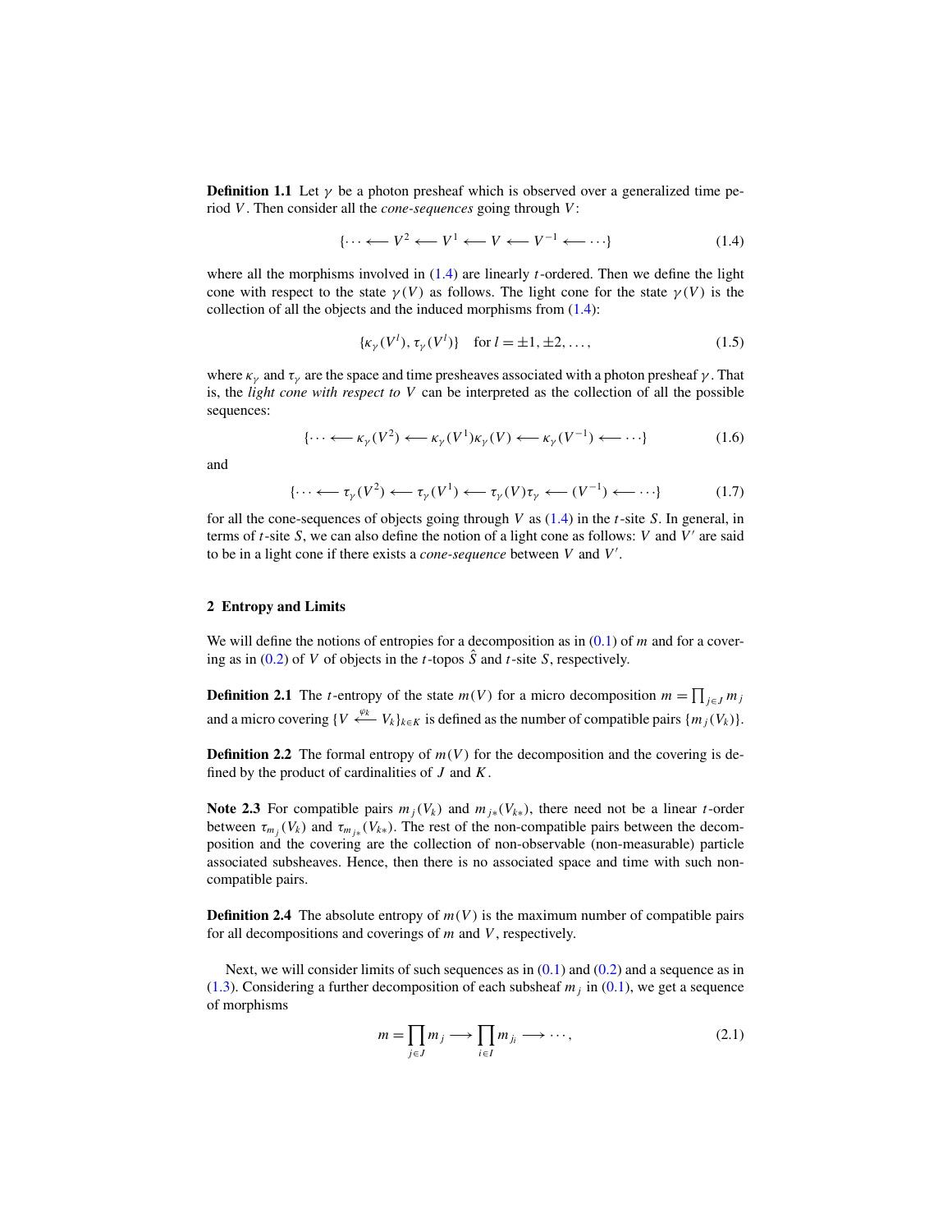**Definition 1.1** Let  $\gamma$  be a photon presheaf which is observed over a generalized time period V. Then consider all the *cone-sequences* going through V:

$$
\{\cdots \leftarrow V^2 \leftarrow V^1 \leftarrow V \leftarrow V^{-1} \leftarrow \cdots\} \tag{1.4}
$$

where all the morphisms involved in  $(1.4)$  are linearly t-ordered. Then we define the light cone with respect to the state  $\gamma(V)$  as follows. The light cone for the state  $\gamma(V)$  is the collection of all the objects and the induced morphisms from (1.4):

$$
\{\kappa_{\gamma}(V^{l}), \tau_{\gamma}(V^{l})\} \quad \text{for } l = \pm 1, \pm 2, \dots,
$$
\n(1.5)

where  $\kappa_{\gamma}$  and  $\tau_{\gamma}$  are the space and time presheaves associated with a photon presheaf  $\gamma$ . That is, the *light cone with respect to* V can be interpreted as the collection of all the possible sequences:

$$
\{\cdots \leftarrow \kappa_{\gamma}(V^2) \leftarrow \kappa_{\gamma}(V^1)\kappa_{\gamma}(V) \leftarrow \kappa_{\gamma}(V^{-1}) \leftarrow \cdots\}
$$
 (1.6)

and

$$
\{\cdots \leftarrow \tau_{\gamma}(V^2) \leftarrow \tau_{\gamma}(V^1) \leftarrow \tau_{\gamma}(V)\tau_{\gamma} \leftarrow (V^{-1}) \leftarrow \cdots\}
$$
 (1.7)

for all the cone-sequences of objects going through  $V$  as  $(1.4)$  in the t-site S. In general, in terms of  $t$ -site  $S$ , we can also define the notion of a light cone as follows:  $V$  and  $V'$  are said to be in a light cone if there exists a *cone-sequence* between  $V$  and  $V'$ .

#### **2 Entropy and Limits**

We will define the notions of entropies for a decomposition as in  $(0.1)$  of m and for a covering as in  $(0.2)$  of V of objects in the *t*-topos  $\hat{S}$  and *t*-site *S*, respectively.

**Definition 2.1** The t-entropy of the state  $m(V)$  for a micro decomposition  $m = \prod_{j \in J} m_j$ and a micro covering  $\{V \stackrel{\varphi_k}{\longleftarrow} V_k\}_{k \in K}$  is defined as the number of compatible pairs  $\{m_j(V_k)\}\$ .

**Definition 2.2** The formal entropy of  $m(V)$  for the decomposition and the covering is defined by the product of cardinalities of  $J$  and  $K$ .

**Note 2.3** For compatible pairs  $m_j(V_k)$  and  $m_{j*}(V_{k*})$ , there need not be a linear t-order between  $\tau_{m_i}(V_k)$  and  $\tau_{m_{i*}}(V_{k*})$ . The rest of the non-compatible pairs between the decomposition and the covering are the collection of non-observable (non-measurable) particle associated subsheaves. Hence, then there is no associated space and time with such noncompatible pairs.

**Definition 2.4** The absolute entropy of  $m(V)$  is the maximum number of compatible pairs for all decompositions and coverings of  $m$  and  $V$ , respectively.

Next, we will consider limits of such sequences as in  $(0.1)$  and  $(0.2)$  and a sequence as in (1.3). Considering a further decomposition of each subsheaf  $m_i$  in (0.1), we get a sequence of morphisms

$$
m = \prod_{j \in J} m_j \longrightarrow \prod_{i \in I} m_{j_i} \longrightarrow \cdots,
$$
 (2.1)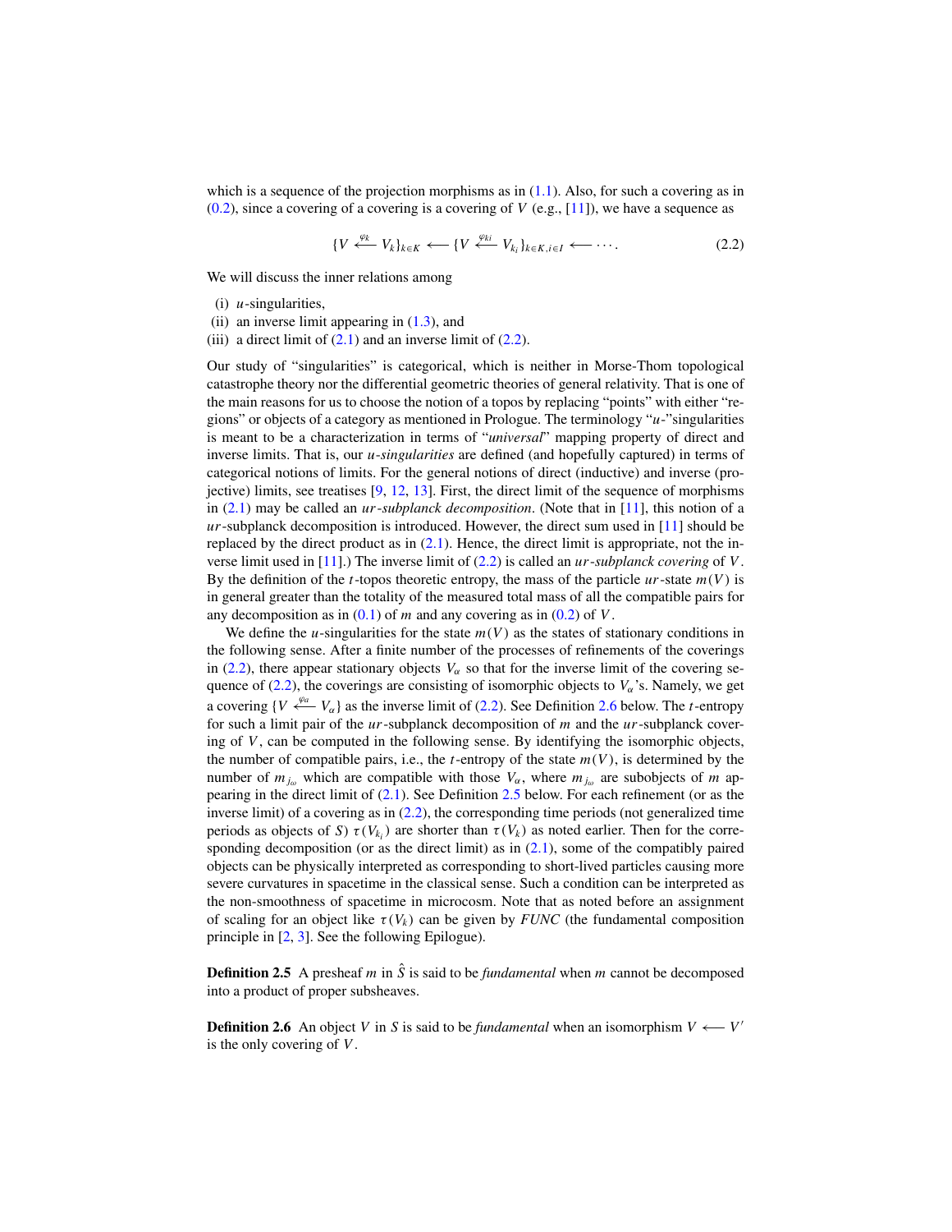which is a sequence of the projection morphisms as in  $(1.1)$ . Also, for such a covering as in  $(0.2)$ , since a covering of a covering is a covering of V (e.g., [\[11\]](#page-9-0)), we have a sequence as

$$
\{V \stackrel{\varphi_k}{\longleftarrow} V_k\}_{k \in K} \longleftarrow \{V \stackrel{\varphi_{ki}}{\longleftarrow} V_{k_i}\}_{k \in K, i \in I} \longleftarrow \cdots. \tag{2.2}
$$

We will discuss the inner relations among

- $(i)$  *u*-singularities,
- (ii) an inverse limit appearing in  $(1.3)$ , and
- (iii) a direct limit of  $(2.1)$  and an inverse limit of  $(2.2)$ .

Our study of "singularities" is categorical, which is neither in Morse-Thom topological catastrophe theory nor the differential geometric theories of general relativity. That is one of the main reasons for us to choose the notion of a topos by replacing "points" with either "regions" or objects of a category as mentioned in Prologue. The terminology " $u$ -"singularities is meant to be a characterization in terms of "*universal*" mapping property of direct and inverse limits. That is, our u-*singularities* are defined (and hopefully captured) in terms of categorical notions of limits. For the general notions of direct (inductive) and inverse (projective) limits, see treatises [9, 12, 13]. First, the direct limit of the sequence of morphisms in (2.1) may be called an ur-*subplanck decomposition*. (Note that in [\[11\]](#page-9-0), this notion of a  $ur$ -subplanck decomposition is introduced. However, the direct sum used in [\[11\]](#page-9-0) should be replaced by the direct product as in (2.1). Hence, the direct limit is appropriate, not the inverse limit used in [[11](#page-9-0)].) The inverse limit of (2.2) is called an ur-*subplanck covering* of V . By the definition of the t-topos theoretic entropy, the mass of the particle ur-state  $m(V)$  is in general greater than the totality of the measured total mass of all the compatible pairs for any decomposition as in  $(0.1)$  of m and any covering as in  $(0.2)$  of V.

We define the *u*-singularities for the state  $m(V)$  as the states of stationary conditions in the following sense. After a finite number of the processes of refinements of the coverings in (2.2), there appear stationary objects  $V_\alpha$  so that for the inverse limit of the covering sequence of (2.2), the coverings are consisting of isomorphic objects to  $V_\alpha$ 's. Namely, we get a covering  ${V \stackrel{\varphi_a}{\longleftarrow} V_\alpha}$  as the inverse limit of (2.2). See Definition 2.6 below. The t-entropy for such a limit pair of the  $ur$ -subplanck decomposition of  $m$  and the  $ur$ -subplanck covering of  $V$ , can be computed in the following sense. By identifying the isomorphic objects, the number of compatible pairs, i.e., the t-entropy of the state  $m(V)$ , is determined by the number of  $m_{i\omega}$  which are compatible with those  $V_{\alpha}$ , where  $m_{i\omega}$  are subobjects of m appearing in the direct limit of  $(2.1)$ . See Definition 2.5 below. For each refinement (or as the inverse limit) of a covering as in  $(2.2)$ , the corresponding time periods (not generalized time periods as objects of S)  $\tau(V_k)$  are shorter than  $\tau(V_k)$  as noted earlier. Then for the corresponding decomposition (or as the direct limit) as in  $(2.1)$ , some of the compatibly paired objects can be physically interpreted as corresponding to short-lived particles causing more severe curvatures in spacetime in the classical sense. Such a condition can be interpreted as the non-smoothness of spacetime in microcosm. Note that as noted before an assignment of scaling for an object like  $\tau(V_k)$  can be given by *FUNC* (the fundamental composition principle in [2, 3]. See the following Epilogue).

**Definition 2.5** A presheaf m in  $\hat{S}$  is said to be *fundamental* when m cannot be decomposed into a product of proper subsheaves.

**Definition 2.6** An object V in S is said to be *fundamental* when an isomorphism  $V \leftarrow V'$ is the only covering of  $V$ .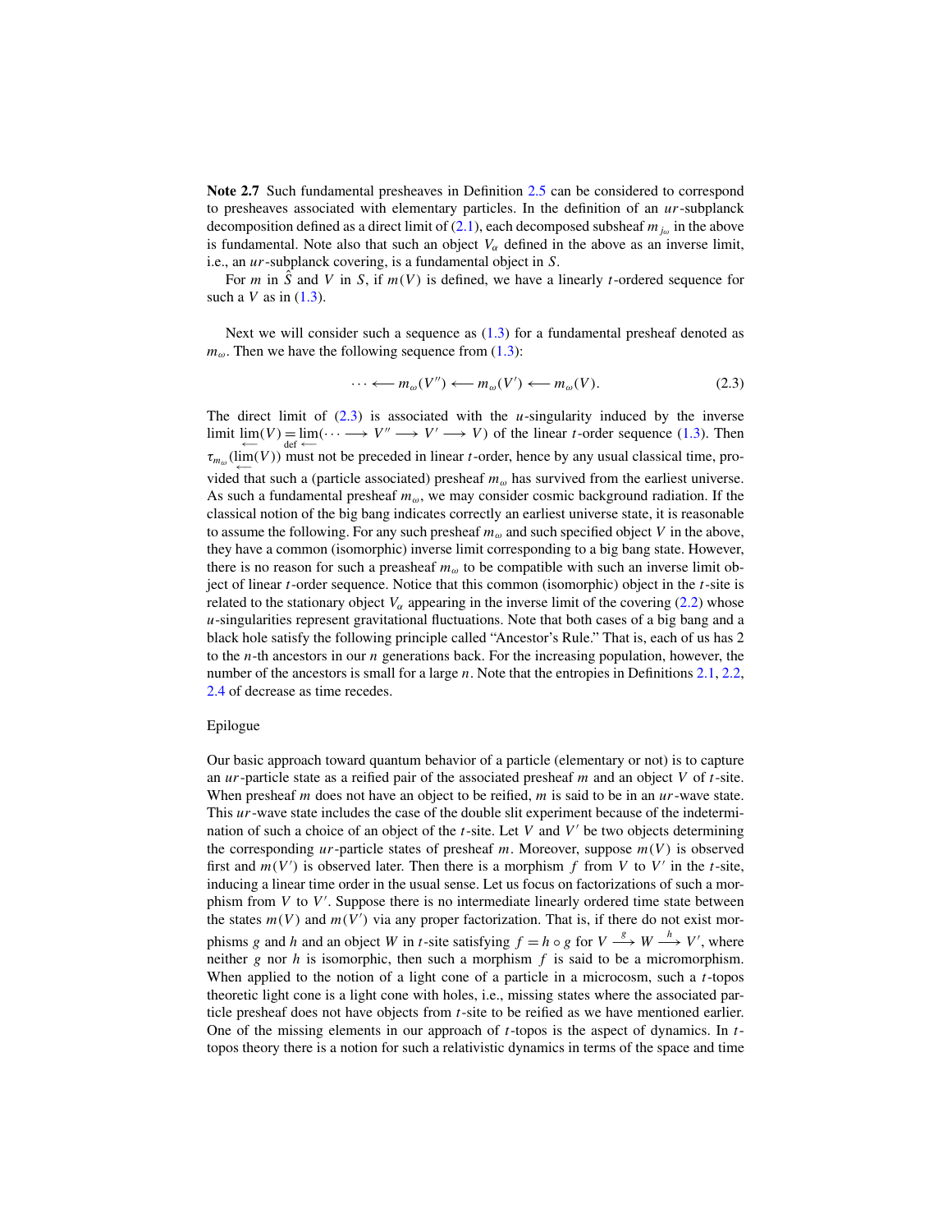**Note 2.7** Such fundamental presheaves in Definition 2.5 can be considered to correspond to presheaves associated with elementary particles. In the definition of an  $ur$ -subplanck decomposition defined as a direct limit of (2.1), each decomposed subsheaf  $m_{i_{\text{in}}}$  in the above is fundamental. Note also that such an object  $V_\alpha$  defined in the above as an inverse limit, i.e., an ur-subplanck covering, is a fundamental object in S.

For m in  $\hat{S}$  and V in S, if  $m(V)$  is defined, we have a linearly t-ordered sequence for such a  $V$  as in  $(1.3)$ .

Next we will consider such a sequence as  $(1.3)$  for a fundamental presheaf denoted as  $m_{\omega}$ . Then we have the following sequence from (1.3):

$$
\cdots \longleftarrow m_{\omega}(V'') \longleftarrow m_{\omega}(V') \longleftarrow m_{\omega}(V). \tag{2.3}
$$

The direct limit of (2.3) is associated with the u-singularity induced by the inverse<br>limit  $\lim(V) = \lim_{(v, v) \to (v, v')} V' \to V$  of the linear t-order sequence (1.3). Then limit  $\lim_{t \to \infty} (V) = \lim_{t \to \infty} (\cdots \to V' \to V' \to V)$  of the linear t-order sequence (1.3). Then  $\tau_{m<sub>ω</sub>}(\text{lim}(V))$  must not be preceded in linear t-order, hence by any usual classical time, provided that such a (particle associated) presheaf  $m_{\omega}$  has survived from the earliest universe. As such a fundamental presheaf  $m_{\omega}$ , we may consider cosmic background radiation. If the classical notion of the big bang indicates correctly an earliest universe state, it is reasonable to assume the following. For any such presheaf  $m_{\omega}$  and such specified object V in the above, they have a common (isomorphic) inverse limit corresponding to a big bang state. However, there is no reason for such a preasheaf  $m<sub>\omega</sub>$  to be compatible with such an inverse limit object of linear t-order sequence. Notice that this common (isomorphic) object in the t-site is related to the stationary object  $V_\alpha$  appearing in the inverse limit of the covering (2.2) whose  $u$ -singularities represent gravitational fluctuations. Note that both cases of a big bang and a black hole satisfy the following principle called "Ancestor's Rule." That is, each of us has 2 to the  $n$ -th ancestors in our  $n$  generations back. For the increasing population, however, the number of the ancestors is small for a large *n*. Note that the entropies in Definitions 2.1, 2.2, 2.4 of decrease as time recedes.

#### Epilogue

Our basic approach toward quantum behavior of a particle (elementary or not) is to capture an  $ur$ -particle state as a reified pair of the associated presheaf m and an object V of  $t$ -site. When presheaf  $m$  does not have an object to be reified,  $m$  is said to be in an  $ur$ -wave state. This ur-wave state includes the case of the double slit experiment because of the indetermination of such a choice of an object of the  $t$ -site. Let V and V' be two objects determining the corresponding ur-particle states of presheaf m. Moreover, suppose  $m(V)$  is observed first and  $m(V')$  is observed later. Then there is a morphism f from V to V' in the t-site, inducing a linear time order in the usual sense. Let us focus on factorizations of such a morphism from *V* to *V'*. Suppose there is no intermediate linearly ordered time state between the states  $m(V)$  and  $m(V')$  via any proper factorization. That is, if there do not exist morphisms g and h and an object W in t-site satisfying  $f = h \circ g$  for  $V \xrightarrow{g} W \xrightarrow{h} V'$ , where neither g nor h is isomorphic, then such a morphism  $f$  is said to be a micromorphism. When applied to the notion of a light cone of a particle in a microcosm, such a t-topos theoretic light cone is a light cone with holes, i.e., missing states where the associated particle presheaf does not have objects from t-site to be reified as we have mentioned earlier. One of the missing elements in our approach of  $t$ -topos is the aspect of dynamics. In  $t$ topos theory there is a notion for such a relativistic dynamics in terms of the space and time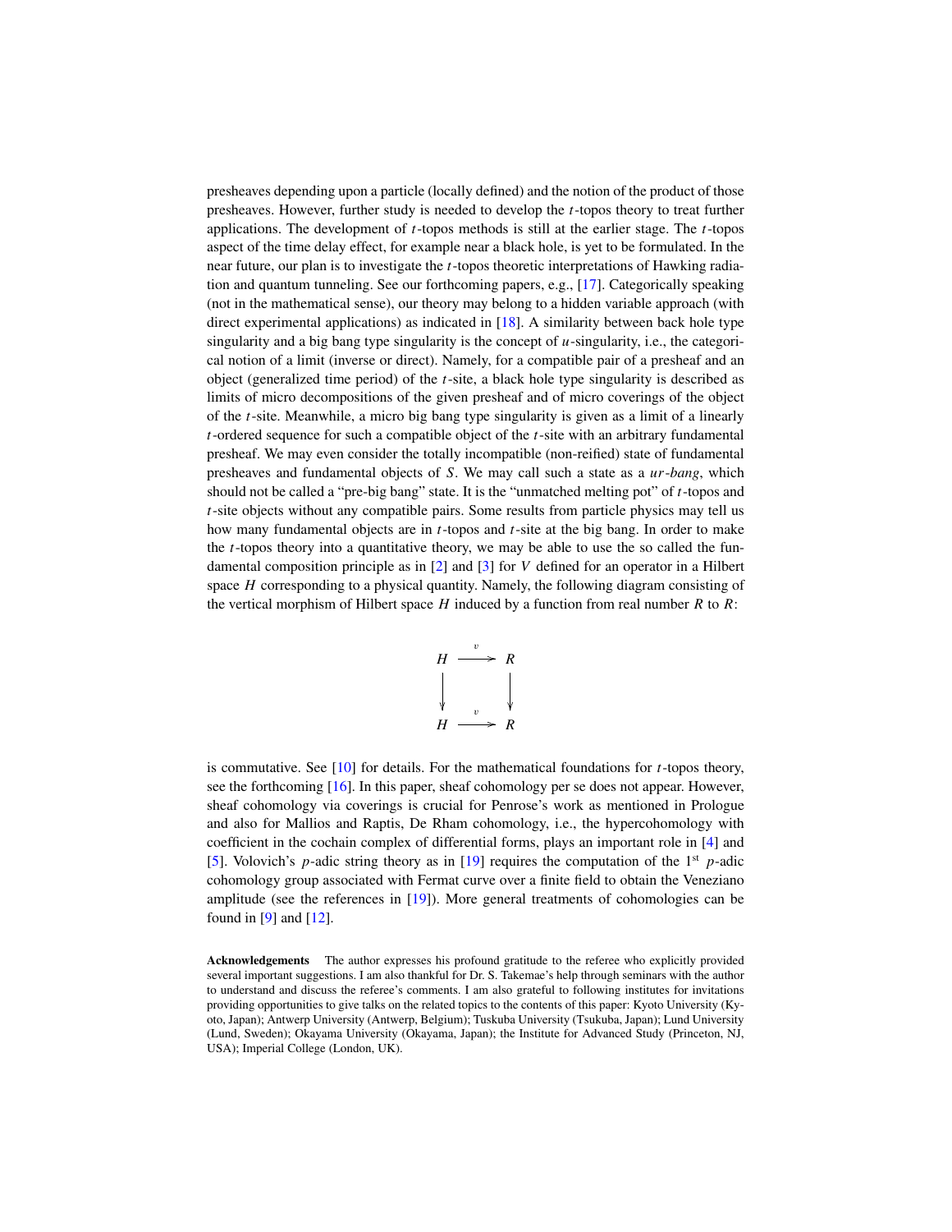presheaves depending upon a particle (locally defined) and the notion of the product of those presheaves. However, further study is needed to develop the  $t$ -topos theory to treat further applications. The development of  $t$ -topos methods is still at the earlier stage. The  $t$ -topos aspect of the time delay effect, for example near a black hole, is yet to be formulated. In the near future, our plan is to investigate the t-topos theoretic interpretations of Hawking radiation and quantum tunneling. See our forthcoming papers, e.g., [\[17\]](#page-9-0). Categorically speaking (not in the mathematical sense), our theory may belong to a hidden variable approach (with direct experimental applications) as indicated in [\[18\]](#page-9-0). A similarity between back hole type singularity and a big bang type singularity is the concept of  $u$ -singularity, i.e., the categorical notion of a limit (inverse or direct). Namely, for a compatible pair of a presheaf and an object (generalized time period) of the  $t$ -site, a black hole type singularity is described as limits of micro decompositions of the given presheaf and of micro coverings of the object of the  $t$ -site. Meanwhile, a micro big bang type singularity is given as a limit of a linearly  $t$ -ordered sequence for such a compatible object of the  $t$ -site with an arbitrary fundamental presheaf. We may even consider the totally incompatible (non-reified) state of fundamental presheaves and fundamental objects of S. We may call such a state as a ur-*bang*, which should not be called a "pre-big bang" state. It is the "unmatched melting pot" of  $t$ -topos and t-site objects without any compatible pairs. Some results from particle physics may tell us how many fundamental objects are in  $t$ -topos and  $t$ -site at the big bang. In order to make the  $t$ -topos theory into a quantitative theory, we may be able to use the so called the fundamental composition principle as in  $[2]$  and  $[3]$  $[3]$  for V defined for an operator in a Hilbert space H corresponding to a physical quantity. Namely, the following diagram consisting of the vertical morphism of Hilbert space H induced by a function from real number R to R:



is commutative. See  $[10]$  $[10]$  $[10]$  for details. For the mathematical foundations for t-topos theory, see the forthcoming [[16](#page-9-0)]. In this paper, sheaf cohomology per se does not appear. However, sheaf cohomology via coverings is crucial for Penrose's work as mentioned in Prologue and also for Mallios and Raptis, De Rham cohomology, i.e., the hypercohomology with coefficient in the cochain complex of differential forms, plays an important role in [4] and [5]. Volovich's *p*-adic string theory as in [\[19\]](#page-9-0) requires the computation of the 1<sup>st</sup> *p*-adic cohomology group associated with Fermat curve over a finite field to obtain the Veneziano amplitude (see the references in [[19](#page-9-0)]). More general treatments of cohomologies can be found in [9] and  $[12]$  $[12]$  $[12]$ .

**Acknowledgements** The author expresses his profound gratitude to the referee who explicitly provided several important suggestions. I am also thankful for Dr. S. Takemae's help through seminars with the author to understand and discuss the referee's comments. I am also grateful to following institutes for invitations providing opportunities to give talks on the related topics to the contents of this paper: Kyoto University (Kyoto, Japan); Antwerp University (Antwerp, Belgium); Tuskuba University (Tsukuba, Japan); Lund University (Lund, Sweden); Okayama University (Okayama, Japan); the Institute for Advanced Study (Princeton, NJ, USA); Imperial College (London, UK).